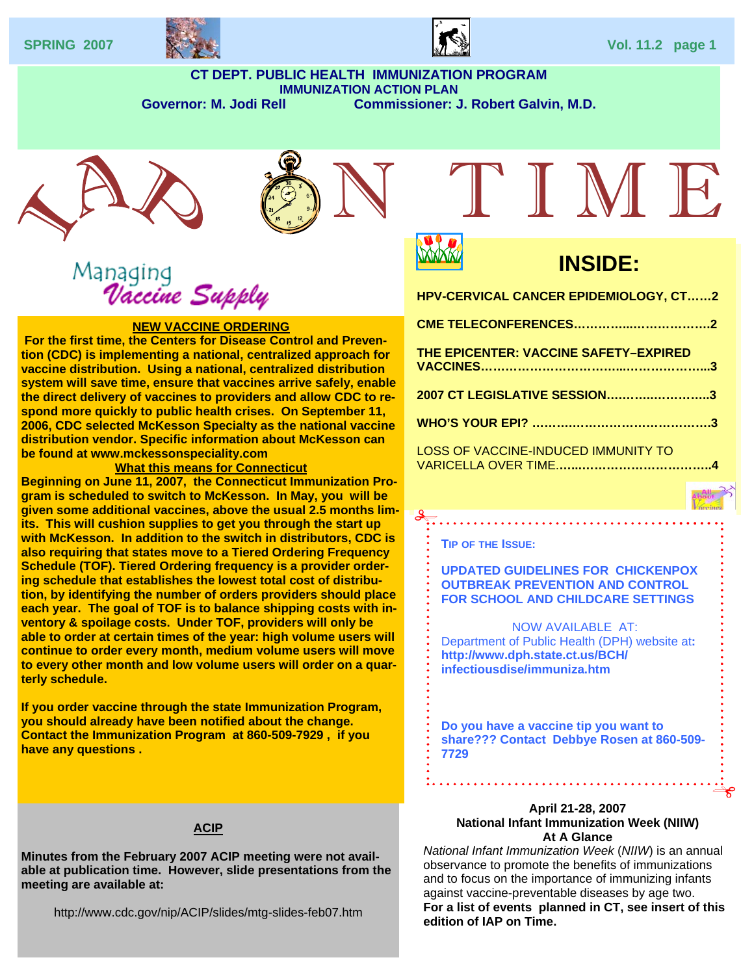



#### **CT DEPT. PUBLIC HEALTH IMMUNIZATION PROGRAM IMMUNIZATION ACTION PLAN**  Governor: M. Jodi Rell **Commissioner: J. Robert Galvin, M.D.**





## Managing<br>Vaccine Suppl

#### **NEW VACCINE ORDERING**

 **For the first time, the Centers for Disease Control and Prevention (CDC) is implementing a national, centralized approach for vaccine distribution. Using a national, centralized distribution system will save time, ensure that vaccines arrive safely, enable the direct delivery of vaccines to providers and allow CDC to respond more quickly to public health crises. On September 11, 2006, CDC selected McKesson Specialty as the national vaccine distribution vendor. Specific information about McKesson can be found at www.mckessonspeciality.com** 

#### **What this means for Connecticut**

**Beginning on June 11, 2007, the Connecticut Immunization Program is scheduled to switch to McKesson. In May, you will be given some additional vaccines, above the usual 2.5 months limits. This will cushion supplies to get you through the start up with McKesson. In addition to the switch in distributors, CDC is also requiring that states move to a Tiered Ordering Frequency Schedule (TOF). Tiered Ordering frequency is a provider ordering schedule that establishes the lowest total cost of distribution, by identifying the number of orders providers should place each year. The goal of TOF is to balance shipping costs with inventory & spoilage costs. Under TOF, providers will only be able to order at certain times of the year: high volume users will continue to order every month, medium volume users will move to every other month and low volume users will order on a quarterly schedule.** 

**If you order vaccine through the state Immunization Program, you should already have been notified about the change. Contact the Immunization Program at 860-509-7929 , if you have any questions .** 

#### **ACIP**

**Minutes from the February 2007 ACIP meeting were not available at publication time. However, slide presentations from the meeting are available at:** 

http://www.cdc.gov/nip/ACIP/slides/mtg-slides-feb07.htm

# TIMF.



### **INSIDE:**

**HPV-CERVICAL CANCER EPIDEMIOLOGY, CT……2** 

- **CME TELECONFERENCES…………...……………….2**
- **THE EPICENTER: VACCINE SAFETY–EXPIRED VACCINES……………………………...………………...3 2007 CT LEGISLATIVE SESSION….……..…………..3 WHO'S YOUR EPI? ……….…………………………….3**  LOSS OF VACCINE-INDUCED IMMUNITY TO

VARICELLA OVER TIME.**…...…………………………..4** 

#### **TIP OF THE ISSUE:**

**UPDATED GUIDELINES FOR CHICKENPOX OUTBREAK PREVENTION AND CONTROL FOR SCHOOL AND CHILDCARE SETTINGS** 

. . . . . . . . . . . . . . . . .

NOW AVAILABLE AT: Department of Public Health (DPH) website at**: http://www.dph.state.ct.us/BCH/ infectiousdise/immuniza.htm** 

**Do you have a vaccine tip you want to share??? Contact Debbye Rosen at 860-509- 7729**

#### **April 21-28, 2007 National Infant Immunization Week (NIIW) At A Glance**

*National Infant Immunization Week* (*NIIW*) is an annual observance to promote the benefits of immunizations and to focus on the importance of immunizing infants against vaccine-preventable diseases by age two. **For a list of events planned in CT, see insert of this edition of IAP on Time.**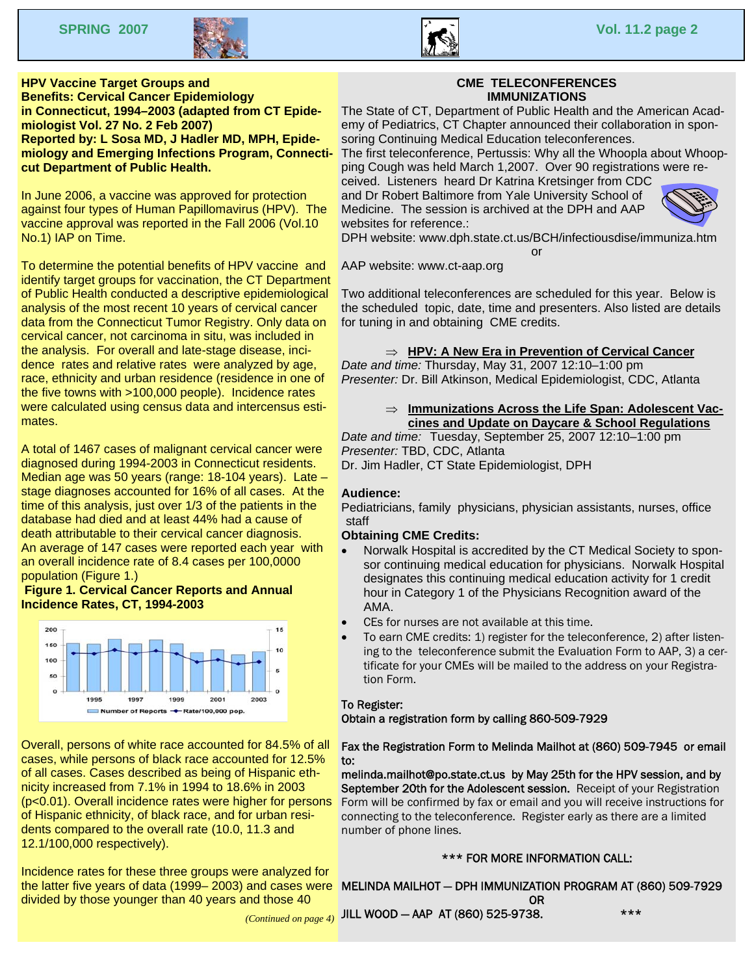



#### **Vaccine Formulation in Connecticut, 1994–2003 (adapted from CT Epide-HPV Vaccine Target Groups and Benefits: Cervical Cancer Epidemiology miologist Vol. 27 No. 2 Feb 2007) Reported by: L Sosa MD, J Hadler MD, MPH, Epidemiology and Emerging Infections Program, Connecticut Department of Public Health.**

In June 2006, a vaccine was approved for protection against four types of Human Papillomavirus (HPV). The vaccine approval was reported in the Fall 2006 (Vol.10 No.1) IAP on Time.

To determine the potential benefits of HPV vaccine and identify target groups for vaccination, the CT Department of Public Health conducted a descriptive epidemiological analysis of the most recent 10 years of cervical cancer data from the Connecticut Tumor Registry. Only data on cervical cancer, not carcinoma in situ, was included in the analysis. For overall and late-stage disease, incidence rates and relative rates were analyzed by age, race, ethnicity and urban residence (residence in one of the five towns with >100,000 people). Incidence rates were calculated using census data and intercensus estimates.

A total of 1467 cases of malignant cervical cancer were diagnosed during 1994-2003 in Connecticut residents. Median age was 50 years (range: 18-104 years). Late – stage diagnoses accounted for 16% of all cases. At the time of this analysis, just over 1/3 of the patients in the database had died and at least 44% had a cause of death attributable to their cervical cancer diagnosis. An average of 147 cases were reported each year with an overall incidence rate of 8.4 cases per 100,0000 population (Figure 1.)

#### **Figure 1. Cervical Cancer Reports and Annual Incidence Rates, CT, 1994-2003**



Overall, persons of white race accounted for 84.5% of all cases, while persons of black race accounted for 12.5% of all cases. Cases described as being of Hispanic ethnicity increased from 7.1% in 1994 to 18.6% in 2003 (p<0.01). Overall incidence rates were higher for persons of Hispanic ethnicity, of black race, and for urban residents compared to the overall rate (10.0, 11.3 and 12.1/100,000 respectively).

Incidence rates for these three groups were analyzed for the latter five years of data (1999– 2003) and cases were divided by those younger than 40 years and those 40

#### **CME TELECONFERENCES IMMUNIZATIONS**

The State of CT, Department of Public Health and the American Academy of Pediatrics, CT Chapter announced their collaboration in sponsoring Continuing Medical Education teleconferences.

The first teleconference, Pertussis: Why all the Whoopla about Whoopping Cough was held March 1,2007. Over 90 registrations were re-

ceived. Listeners heard Dr Katrina Kretsinger from CDC and Dr Robert Baltimore from Yale University School of Medicine. The session is archived at the DPH and AAP websites for reference.:



DPH website: www.dph.state.ct.us/BCH/infectiousdise/immuniza.htm or

AAP website: www.ct-aap.org

Two additional teleconferences are scheduled for this year. Below is the scheduled topic, date, time and presenters. Also listed are details for tuning in and obtaining CME credits.

#### ⇒ **HPV: A New Era in Prevention of Cervical Cancer**

*Date and time:* Thursday, May 31, 2007 12:10–1:00 pm *Presenter:* Dr. Bill Atkinson, Medical Epidemiologist, CDC, Atlanta

#### ⇒ **Immunizations Across the Life Span: Adolescent Vaccines and Update on Daycare & School Regulations**

*Date and time:* Tuesday, September 25, 2007 12:10–1:00 pm *Presenter:* TBD, CDC, Atlanta

Dr. Jim Hadler, CT State Epidemiologist, DPH

#### **Audience:**

Pediatricians, family physicians, physician assistants, nurses, office staff

#### **Obtaining CME Credits:**

- Norwalk Hospital is accredited by the CT Medical Society to sponsor continuing medical education for physicians. Norwalk Hospital designates this continuing medical education activity for 1 credit hour in Category 1 of the Physicians Recognition award of the AMA.
- CEs for nurses are not available at this time.
- To earn CME credits: 1) register for the teleconference, 2) after listening to the teleconference submit the Evaluation Form to AAP, 3) a certificate for your CMEs will be mailed to the address on your Registration Form.

#### To Register:

Obtain a registration form by calling 860-509-7929

#### Fax the Registration Form to Melinda Mailhot at (860) 509-7945 or email to:

melinda.mailhot@po.state.ct.us by May 25th for the HPV session, and by September 20th for the Adolescent session. Receipt of your Registration Form will be confirmed by fax or email and you will receive instructions for connecting to the teleconference. Register early as there are a limited number of phone lines.

#### \*\*\* FOR MORE INFORMATION CALL:

MELINDA MAILHOT — DPH IMMUNIZATION PROGRAM AT (860) 509-7929 OR

*(Continued on page 4)*  JILL WOOD — AAP AT (860) 525-9738. \*\*\*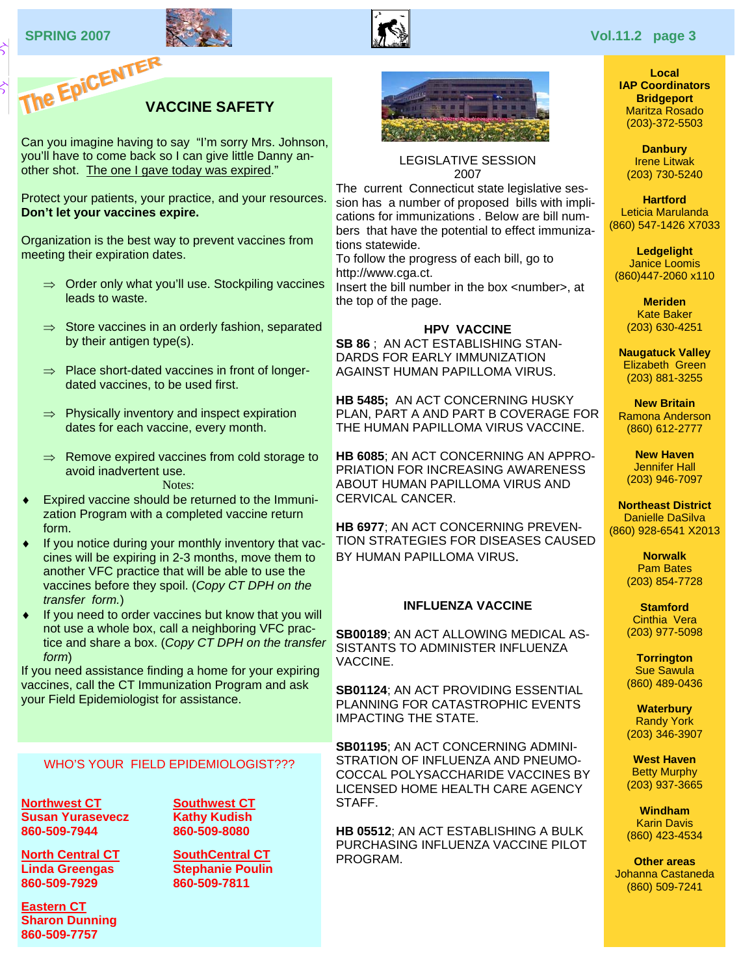



#### **Local IAP Coordinators Bridgeport**  Maritza Rosado (203)-372-5503

**Danbury**  Irene Litwak (203) 730-5240

**Hartford**  Leticia Marulanda (860) 547-1426 X7033

**Ledgelight**  Janice Loomis (860)447-2060 x110

> **Meriden**  Kate Baker (203) 630-4251

**Naugatuck Valley**  Elizabeth Green (203) 881-3255

**New Britain**  Ramona Anderson (860) 612-2777

**New Haven**  Jennifer Hall (203) 946-7097

**Northeast District**  Danielle DaSilva (860) 928-6541 X2013

> **Norwalk**  Pam Bates (203) 854-7728

> **Stamford**  Cinthia Vera (203) 977-5098

> **Torrington**  Sue Sawula (860) 489-0436

**Waterbury**  Randy York (203) 346-3907

**West Haven**  Betty Murphy (203) 937-3665

**Windham**  Karin Davis (860) 423-4534

**Other areas**  Johanna Castaneda (860) 509-7241

#### **VACCINE SAFETY**

Can you imagine having to say "I'm sorry Mrs. Johnson, you'll have to come back so I can give little Danny another shot. The one I gave today was expired."

Protect your patients, your practice, and your resources. **Don't let your vaccines expire.** 

Organization is the best way to prevent vaccines from meeting their expiration dates.

- ⇒ Order only what you'll use. Stockpiling vaccines leads to waste.
- $\Rightarrow$  Store vaccines in an orderly fashion, separated by their antigen type(s).
- ⇒ Place short-dated vaccines in front of longerdated vaccines, to be used first.
- $\Rightarrow$  Physically inventory and inspect expiration dates for each vaccine, every month.
- ⇒ Remove expired vaccines from cold storage to avoid inadvertent use.

#### Notes:

- ♦ Expired vaccine should be returned to the Immunization Program with a completed vaccine return form.
- If you notice during your monthly inventory that vaccines will be expiring in 2-3 months, move them to another VFC practice that will be able to use the vaccines before they spoil. (*Copy CT DPH on the transfer form.*)
- ♦ If you need to order vaccines but know that you will not use a whole box, call a neighboring VFC practice and share a box. (*Copy CT DPH on the transfer form*)

If you need assistance finding a home for your expiring vaccines, call the CT Immunization Program and ask your Field Epidemiologist for assistance.

#### WHO'S YOUR FIELD EPIDEMIOLOGIST???

**Northwest CT Susan Yurasevecz 860-509-7944** 

**North Central CT Linda Greengas 860-509-7929** 

**Eastern CT Sharon Dunning 860-509-7757** 

**Southwest CT Kathy Kudish 860-509-8080** 

**SouthCentral CT Stephanie Poulin 860-509-7811** 



LEGISLATIVE SESSION 2007

The current Connecticut state legislative session has a number of proposed bills with implications for immunizations . Below are bill numbers that have the potential to effect immunizations statewide.

To follow the progress of each bill, go to http://www.cga.ct.

Insert the bill number in the box <number>, at the top of the page.

#### **HPV VACCINE**

**SB 86** ; AN ACT ESTABLISHING STAN-DARDS FOR EARLY IMMUNIZATION AGAINST HUMAN PAPILLOMA VIRUS.

**HB 5485;** AN ACT CONCERNING HUSKY PLAN, PART A AND PART B COVERAGE FOR THE HUMAN PAPILLOMA VIRUS VACCINE.

**HB 6085**; AN ACT CONCERNING AN APPRO-PRIATION FOR INCREASING AWARENESS ABOUT HUMAN PAPILLOMA VIRUS AND CERVICAL CANCER.

**HB 6977**; AN ACT CONCERNING PREVEN-TION STRATEGIES FOR DISEASES CAUSED BY HUMAN PAPILLOMA VIRUS.

#### **INFLUENZA VACCINE**

**SB00189**; AN ACT ALLOWING MEDICAL AS-SISTANTS TO ADMINISTER INFLUENZA VACCINE.

**SB01124**; AN ACT PROVIDING ESSENTIAL PLANNING FOR CATASTROPHIC EVENTS IMPACTING THE STATE.

**SB01195**; AN ACT CONCERNING ADMINI-STRATION OF INFLUENZA AND PNEUMO-COCCAL POLYSACCHARIDE VACCINES BY LICENSED HOME HEALTH CARE AGENCY STAFF.

**HB 05512**; AN ACT ESTABLISHING A BULK PURCHASING INFLUENZA VACCINE PILOT PROGRAM.